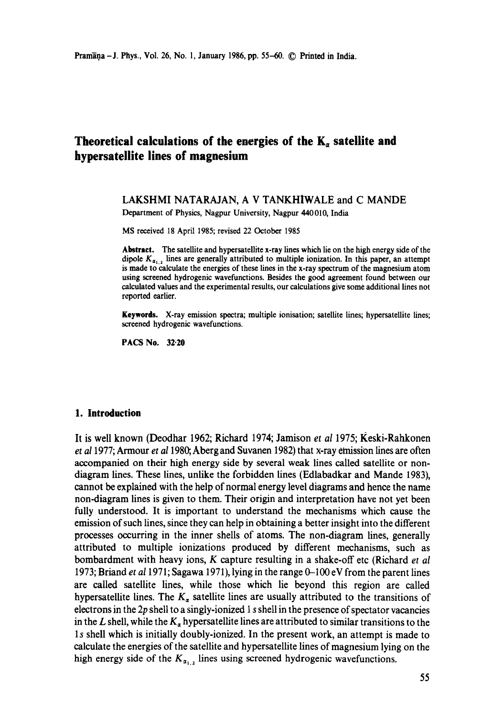# **Theoretical calculations of the energies of the**  $K_a$  **satellite and hypersatellite lines of magnesium**

### LAKSHMI NATARAJAN, A V TANKHIWALE and C MANDE Department of Physics, Nagpur University, Nagpur 440010, India

MS received 18 April 1985; revised 22 October 1985

**Abstract.** The satellite and hypersatellite x-ray lines which lie on the high energy side of the dipole  $K_{\alpha_{1,2}}$  lines are generally attributed to multiple ionization. In this paper, an attempt is made to calculate the energies of these lines in the x-ray spectrum of the magnesium atom using screened hydrogenic wavefunctions. Besides the good agreement found between our calculated values and the experimental results, our calculations give some additional lines not reported earlier.

Keywords. X-ray emission spectra; multiple ionisation; satellite lines; hypersatellite lines; screened hydrogenic wavefunctions.

PACS No. 32.20

#### **1. Introduction**

It is well known (Deodhar 1962; Richard 1974; Jamison *et al* 1975; Keski-Rahkonen *et al* 1977; Armour *et a11980,* Aberg and Suvanen 1982) that x-ray emission fines are often accompanied on their high energy side by several weak lines called satellite or nondiagram lines. These lines, unlike the forbidden lines (Edlabadkar and Mande 1983), cannot be explained with the help of normal energy level diagrams and hence the name non-diagram lines is given to them. Their origin and interpretation have not yet been fully understood. It is important to understand the mechanisms which cause the emission of such lines, since they can help in obtaining a better insight into the different processes occurring in the inner shells of atoms. The non-diagram lines, generally attributed to multiple ionizations produced by different mechanisms, such as bombardment with heavy ions, K capture resulting in a shake-off etc (Richard *et al*  1973; Briand *et al* 1971; Sagawa 1971), lying in the range 0-100 eV from the parent lines are called satellite lines, while those which lie beyond this region are called hypersatellite lines. The  $K_a$  satellite lines are usually attributed to the transitions of electrons in the 2p shell to a singly-ionized 1 s shell in the presence of spectator vacancies in the L shell, while the  $K_a$  hypersatellite lines are attributed to similar transitions to the 1 s shell which is initially doubly-ionized. In the present work, an attempt is made to calculate the energies of the satellite and hypersatellite lines of magnesium lying on the high energy side of the  $K_{\alpha_{1,2}}$  lines using screened hydrogenic wavefunctions.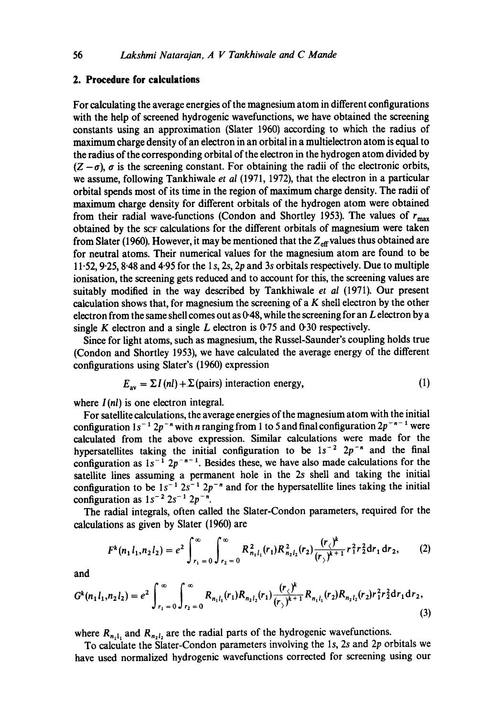## **2. Procedure for calculations**

For calculating the average energies of the magnesium atom in different configurations with the help of screened hydrogenic wavefunctions, we have obtained the screening constants using an approximation (Slater 1960) according to which the radius of maximum charge density of an electron in an orbital in a multielectron atom is equal to the radius of the corresponding orbital of the electron in the hydrogen atom divided by  $(Z - \sigma)$ ,  $\sigma$  is the screening constant. For obtaining the radii of the electronic orbits, we assume, following Tankhiwale *et al* (1971, 1972), that the electron in a particular orbital spends most of its time in the region of maximum charge density. The radii of maximum charge density for different orbitals of the hydrogen atom were obtained from their radial wave-functions (Condon and Shortley 1953). The values of  $r_{\text{max}}$ obtained by the SCF calculations for the different orbitals of magnesium were taken from Slater (1960). However, it may be mentioned that the  $Z_{\text{eff}}$  values thus obtained are for neutral atoms. Their numerical values for the magnesium atom are found to be 11.52, 9'25, 8.48 and 4.95 for the 1 s, 2s, 2p and 3s orbitals respectively. Due to multiple ionisation, the screening gets reduced and to account for this, the screening values are suitably modified in the way described by Tankhiwale *et al* (1971). Our present calculation shows that, for magnesium the screening of a  $K$  shell electron by the other electron from the same shell comes out as  $0.48$ , while the screening for an L electron by a single K electron and a single L electron is  $0.75$  and  $0.30$  respectively.

Since for light atoms, such as magnesium, the Russel-Saunder's coupling holds true (Condon and Shortley 1953), we have calculated the average energy of the different configurations using Slater's (1960) expression

$$
E_{av} = \Sigma I(nl) + \Sigma (pairs) interaction energy,
$$
 (1)

where  $I(nl)$  is one electron integral.

For satellite calculations, the average energies of the magnesium atom with the initial configuration  $1s^{-1}2p^{-n}$  with n ranging from 1 to 5 and final configuration  $2p^{-n-1}$  were calculated from the above expression. Similar calculations were made for the hypersatellites taking the initial configuration to be  $1s^{-2}$   $2p^{-n}$  and the final configuration as  $1s^{-1}$   $2p^{-n-1}$ . Besides these, we have also made calculations for the satellite lines assuming a permanent hole in the 2s shell and taking the initial configuration to be  $1s^{-1} 2s^{-1} 2p^{-n}$  and for the hypersatellite lines taking the initial configuration as  $1s^{-2} 2s^{-1} 2p^{-n}$ .

The radial integrals, often called the Slater-Condon parameters, required for the calculations as given by Slater (1960) are

$$
F^{k}(n_{1}l_{1},n_{2}l_{2})=e^{2}\int_{r_{1}=0}^{\infty}\int_{r_{2}=0}^{\infty}R_{n_{1}l_{1}}^{2}(r_{1})R_{n_{2}l_{2}}^{2}(r_{2})\frac{(r_{\langle})^{k}}{(r_{\rangle})^{k+1}}r_{1}^{2}r_{2}^{2}dr_{1}dr_{2}, \qquad (2)
$$

and

$$
G^{k}(n_{1}l_{1},n_{2}l_{2})=e^{2}\int_{r_{1}=0}^{\infty}\int_{r_{2}=0}^{\infty}R_{n_{1}l_{1}}(r_{1})R_{n_{2}l_{2}}(r_{1})\frac{(r_{\zeta})^{k}}{(r_{\zeta})^{k+1}}R_{n_{1}l_{1}}(r_{2})R_{n_{2}l_{2}}(r_{2})r_{1}^{2}r_{2}^{2}dr_{1}dr_{2},
$$
\n(3)

where  $R_{n_1l_1}$  and  $R_{n_2l_2}$  are the radial parts of the hydrogenic wavefunctions.

To calculate the Slater-Condon parameters involving the ls, 2s and 2p orbitals we have used normalized hydrogenic wavefunctions corrected for screening using our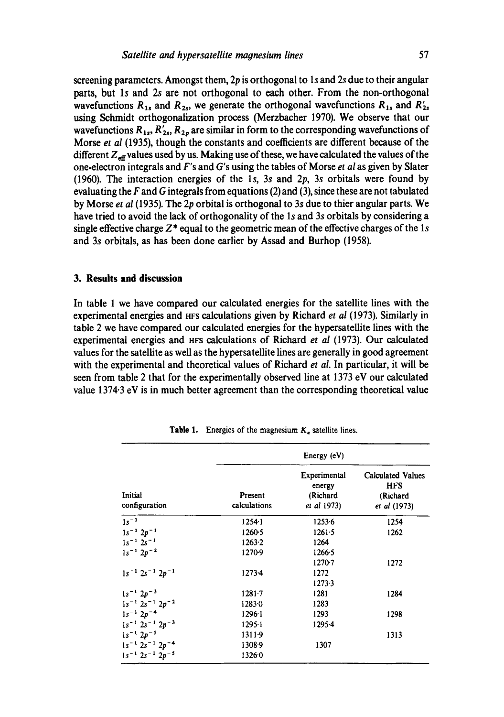**screening parameters. Amongst them, 2p is orthogonal to ls and 2s due to their angular parts, but ls and 2s are not orthogonal to each other. From the non-orthogonal**  wavefunctions  $R_{1s}$  and  $R_{2s}$ , we generate the orthogonal wavefunctions  $R_{1s}$  and  $R'_{2s}$ **using Sehmidt orthogonalization process (Merzbacher 1970). We observe that our**  wavefunctions  $R_{1s}$ ,  $R'_{2s}$ ,  $R_{2p}$  are similar in form to the corresponding wavefunctions of **Morse** *et al* **(1935), though the constants and coefficients are different because of the**  different Z<sub>eff</sub> values used by us. Making use of these, we have calculated the values of the **one-electron integrals and F's and G's using the tables of Morse** *et al* **as given by Slater**  (1960). The interaction energies of the 1s, 3s and 2p, 3s orbitals were found by **evaluating the F and G integrals from equations (2) and (3), since these are not tabulated by Morse** *et al* **(1935). The 2p orbital is orthogonal to 3s due to thier angular parts. We**  have tried to avoid the lack of orthogonality of the 1s and 3s orbitals by considering a single effective charge  $Z^*$  equal to the geometric mean of the effective charges of the 1s **and 3s orbitals, as has been done earlier by Assad and Burhop (1958).** 

### **3. Results and discussion**

**In table 1 we have compared our calculated energies for the satellite lines with the experimental energies and HFS calculations given by Richard** *et al* **(1973). Similarly in table 2 we have compared our calculated energies for the hypersatellite lines with the experimental energies and HFS calculations of Richard** *et al* **(1973). Our calculated values for the satellite as well as the hypersatellite lines are generally in good agreement with the experimental and theoretical values of Richard** *et al.* **In particular, it will be seen from table 2 that for the experimentally observed line at 1373 eV our calculated value 1374.3 eV is in much better agreement than the corresponding theoretical value** 

| Initial<br>configuration      | Energy (eV)             |                                                   |                                                                    |
|-------------------------------|-------------------------|---------------------------------------------------|--------------------------------------------------------------------|
|                               | Present<br>calculations | Experimental<br>energy<br>(Richard<br>et al 1973) | <b>Calculated Values</b><br><b>HFS</b><br>(Richard<br>et al (1973) |
| $1s^{-1}$                     | $1254 - 1$              | 1253.6                                            | 1254                                                               |
| $1s^{-1} 2p^{-1}$             | 12605                   | 1261.5                                            | 1262                                                               |
| $1s^{-1} 2s^{-1}$             | 1263.2                  | 1264                                              |                                                                    |
| $1s^{-1} 2p^{-2}$             | 1270-9                  | 1266.5                                            |                                                                    |
|                               |                         | $1270 - 7$                                        | 1272                                                               |
| $1s^{-1}$ $2s^{-1}$ $2p^{-1}$ | $1273 - 4$              | 1272                                              |                                                                    |
|                               |                         | $1273-3$                                          |                                                                    |
| $1s^{-1}$ $2p^{-3}$           | $1281 - 7$              | 1281                                              | 1284                                                               |
| $1s^{-1}$ $2s^{-1}$ $2p^{-2}$ | $1283 - 0$              | 1283                                              |                                                                    |
| $1s^{-1}$ 2p <sup>-4</sup>    | $1296-1$                | 1293                                              | 1298                                                               |
| $1s^{-1}$ $2s^{-1}$ $2p^{-3}$ | $1295 - 1$              | 1295-4                                            |                                                                    |
| $1s^{-1} 2p^{-5}$             | $1311-9$                |                                                   | 1313                                                               |
| $1s^{-1}$ $2s^{-1}$ $2p^{-4}$ | 1308.9                  | 1307                                              |                                                                    |
| $1s^{-1}$ $2s^{-1}$ $2p^{-5}$ | 1326.0                  |                                                   |                                                                    |

**Table 1. Energies of the magnesium**  $K_a$  **satellite lines.**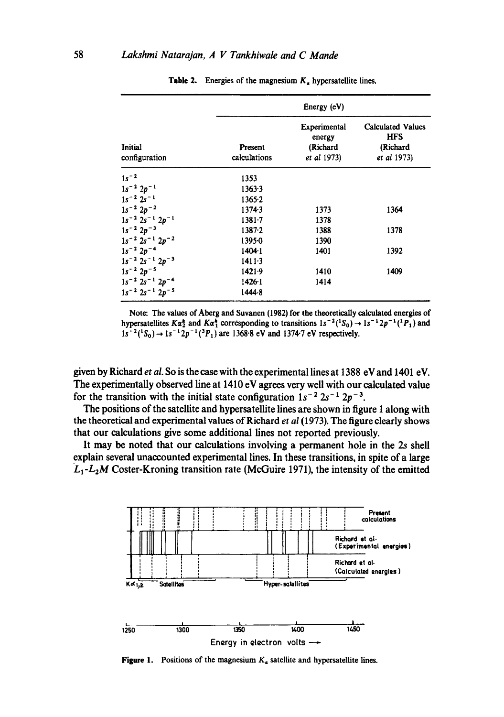| Initial<br>configuration      | Energy (eV)             |                                                   |                                                                   |
|-------------------------------|-------------------------|---------------------------------------------------|-------------------------------------------------------------------|
|                               | Present<br>calculations | Experimental<br>energy<br>(Richard<br>et al 1973) | <b>Calculated Values</b><br><b>HFS</b><br>(Richard<br>et al 1973) |
| $1s^{-2}$                     | 1353                    |                                                   |                                                                   |
| $1s^{-2} 2p^{-1}$             | 1363.3                  |                                                   |                                                                   |
| $1s^{-2}$ 2s <sup>-1</sup>    | 1365.2                  |                                                   |                                                                   |
| $1s^{-2} 2p^{-2}$             | 13743                   | 1373                                              | 1364                                                              |
| $1s^{-2}$ $2s^{-1}$ $2p^{-1}$ | $1381 - 7$              | 1378                                              |                                                                   |
| $1s^{-2} 2p^{-3}$             | $1387 - 2$              | 1388                                              | 1378                                                              |
| $1s^{-2}$ $2s^{-1}$ $2p^{-2}$ | 13950                   | 1390                                              |                                                                   |
| $1s^{-2} 2p^{-4}$             | 1404.1                  | 1401                                              | 1392                                                              |
| $1s^{-2}$ $2s^{-1}$ $2p^{-3}$ | $1411-3$                |                                                   |                                                                   |
| $1s^{-2} 2p^{-5}$             | $1421 - 9$              | 1410                                              | 1409                                                              |
| $1s^{-2}$ $2s^{-1}$ $2p^{-4}$ | $1426-1$                | 1414                                              |                                                                   |
| $1s^{-2}$ $2s^{-1}$ $2p^{-5}$ | 1444-8                  |                                                   |                                                                   |

**Table 2.** Energies of the magnesium  $K_a$  hypersatellite lines.

**Note: The values of Aberg and Suvanen** (1982) **for the theoretically calculated energies of**  hypersatellites  $K\alpha_2^*$  and  $K\alpha_1^*$  corresponding to transitions  $1s^{-2}({}^1S_0) \rightarrow 1s^{-1}2p^{-1}({}^1P_1)$  and  $1s^{-2}(^{1}S_{0}) \rightarrow 1s^{-1}2p^{-1}(^{3}P_{1})$  are 1368.8 eV and 1374.7 eV respectively.

**given by Richard** *et al.* **So is the case with the experimental lines at 1388 eV and 1401 eV. The experimentally observed line at 1410 eV agrees very well with our calculated value**  for the transition with the initial state configuration  $1s^{-2} 2s^{-1} 2p^{-3}$ .

**The positions of the satellite and hypersatellite lines are shown in figure 1 along with the theoretical and experimental values of Richard** *et al* **(1973). The figure clearly shows that our calculations give some additional lines not reported previously.** 

**It may be noted that our calculations involving a permanent hole in the 2s shell explain several unaccounted experimental lines. In these transitions, in spite of a large**  *Lt-LzM* **Coster-Kroning transition rate (McGuire 1971), the intensity of the emitted** 



**Figure 1.** Positions of the magnesium  $K_a$  satellite and hypersatellite lines.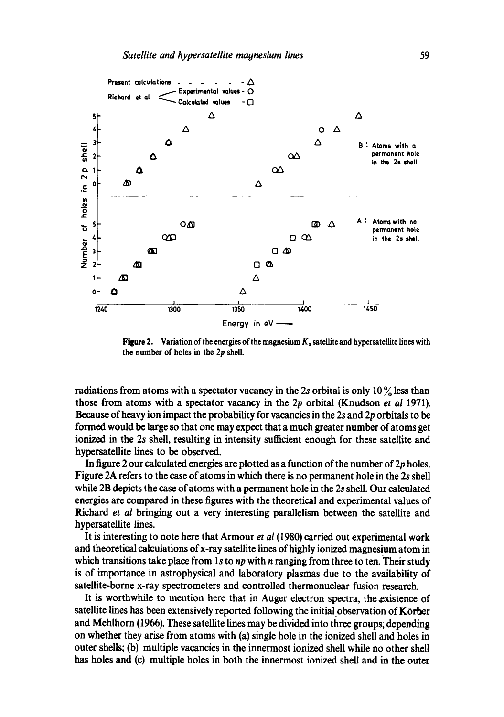

**Figure 2.** Variation of the energies of the magnesium  $K_a$  satellite and hypersatellite lines with the number of holes in the 2p shell.

radiations from atoms with a spectator vacancy in the 2s orbital is only  $10\frac{9}{6}$  less than those from atoms with a spectator vacancy in the 2p orbital (Knudson *et al* 1971). Because of heavy ion impact the probability for vacancies in the 2s and 2p orbitals to be formed would be large so that one may expect that a much greater number of atoms get ionized in the 2s shell, resulting in intensity sufficient enough for these satellite and hypcrsatellite lines to be observed.

In figure 2 our calculated energies are plotted as a function of the number of  $2p$  holes. Figure 2A refers to the case of atoms in which there is no permanent hole in the 2s shell while 2B depicts the case of atoms with a permanent hole in the 2s shell. Our calculated energies are compared in these figures with the theoretical and experimental values of Richard *et al* bringing out a very interesting parallelism between the satellite and hypersatdlite lines.

It is interesting to note here that Armour *et al* (1980) carried out experimental work and theoretical calculations of x-ray satellite lines of highly ionized magnesium atom in which transitions take place from 1s to *np* with *n* ranging from three to ten. Their study is of importance in astrophysical and laboratory plasmas due to the availability of satellite-borne x-ray spectrometers and controlled thermonuclear fusion research.

It is worthwhile to mention here that in Auger electron spectra, the existence of satellite lines has been extensively reported following the initial observation of Körber and Mehlhorn (1966). These satellite lines may be divided into three groups; depending on whether they arise from atoms with (a) single hole in the ionized shell and holes in outer shells; (b) multiple vacancies in the innermost ionized shell while no other shell has holes and (c) multiple holes in both the innermost ionized shell and in the outer